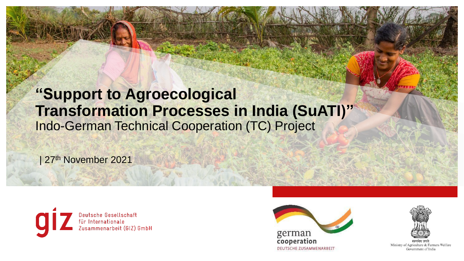# **"Support to Agroecological Transformation Processes in India (SuATI)"** Indo-German Technical Cooperation (TC) Project

1. Click on the Contract on the Contract on the Contract of the Contract on the Contract of the Contract of the icon to insert and the insert and new photo.

| 27<sup>th</sup> November 2021





2. Reset the slide of slides. 3. Where needs the slides of slides and slides in the slides of slides and



change the section using the section using the section of the section of the section of the section of the section

the "Crop" function.

Ministry of Agriculture & Farmers Welfare Government of India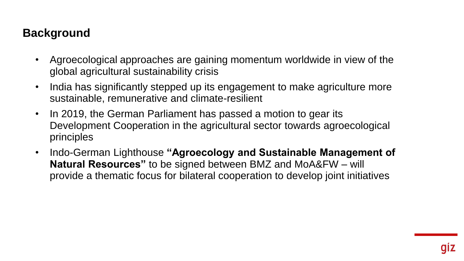#### **Background**

- Agroecological approaches are gaining momentum worldwide in view of the global agricultural sustainability crisis
- India has significantly stepped up its engagement to make agriculture more sustainable, remunerative and climate-resilient
- In 2019, the German Parliament has passed a motion to gear its Development Cooperation in the agricultural sector towards agroecological principles
- Indo-German Lighthouse **"Agroecology and Sustainable Management of Natural Resources"** to be signed between BMZ and MoA&FW – will provide a thematic focus for bilateral cooperation to develop joint initiatives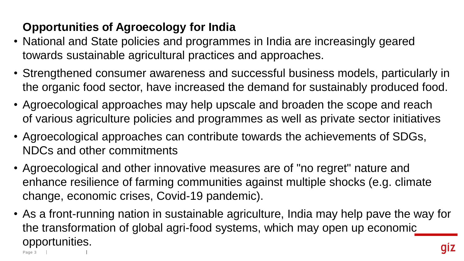## **Opportunities of Agroecology for India**

- National and State policies and programmes in India are increasingly geared towards sustainable agricultural practices and approaches.
- Strengthened consumer awareness and successful business models, particularly in the organic food sector, have increased the demand for sustainably produced food.
- Agroecological approaches may help upscale and broaden the scope and reach of various agriculture policies and programmes as well as private sector initiatives
- Agroecological approaches can contribute towards the achievements of SDGs, NDCs and other commitments
- Agroecological and other innovative measures are of "no regret" nature and enhance resilience of farming communities against multiple shocks (e.g. climate change, economic crises, Covid-19 pandemic).
- As a front-running nation in sustainable agriculture, India may help pave the way for the transformation of global agri-food systems, which may open up economic opportunities.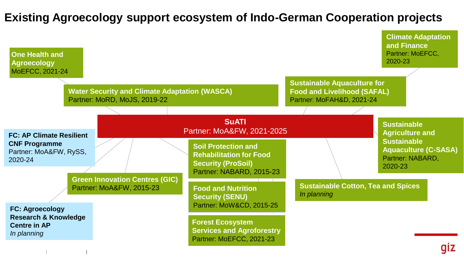### **Existing Agroecology support ecosystem of Indo-German Cooperation projects**

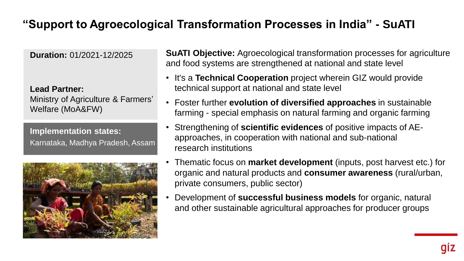### **"Support to Agroecological Transformation Processes in India" - SuATI**

**Duration:** 01/2021-12/2025

**Lead Partner:** 

Ministry of Agriculture & Farmers' Welfare (MoA&FW)

**Implementation states:**  Karnataka, Madhya Pradesh, Assam



**SuATI Objective:** Agroecological transformation processes for agriculture and food systems are strengthened at national and state level

- It's a **Technical Cooperation** project wherein GIZ would provide technical support at national and state level
- Foster further **evolution of diversified approaches** in sustainable farming - special emphasis on natural farming and organic farming
- Strengthening of **scientific evidences** of positive impacts of AEapproaches, in cooperation with national and sub-national research institutions
- Thematic focus on **market development** (inputs, post harvest etc.) for organic and natural products and **consumer awareness** (rural/urban, private consumers, public sector)
- Development of **successful business models** for organic, natural and other sustainable agricultural approaches for producer groups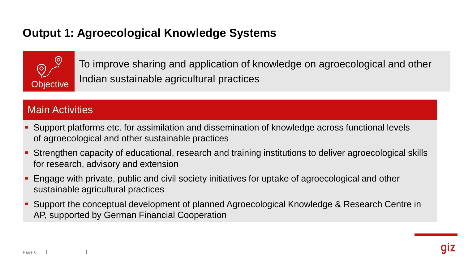### **Output 1: Agroecological Knowledge Systems**



To improve sharing and application of knowledge on agroecological and other Objective Indian sustainable agricultural practices

#### Main Activities

- Support platforms etc. for assimilation and dissemination of knowledge across functional levels of agroecological and other sustainable practices
- Strengthen capacity of educational, research and training institutions to deliver agroecological skills for research, advisory and extension
- Engage with private, public and civil society initiatives for uptake of agroecological and other sustainable agricultural practices
- Support the conceptual development of planned Agroecological Knowledge & Research Centre in AP, supported by German Financial Cooperation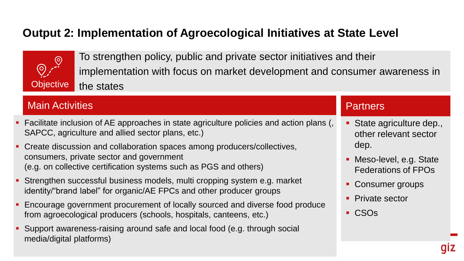### **Output 2: Implementation of Agroecological Initiatives at State Level**



To strengthen policy, public and private sector initiatives and their implementation with focus on market development and consumer awareness in Objective the states

#### Main Activities

- Facilitate inclusion of AE approaches in state agriculture policies and action plans (, SAPCC, agriculture and allied sector plans, etc.)
- Create discussion and collaboration spaces among producers/collectives, consumers, private sector and government (e.g. on collective certification systems such as PGS and others)
- Strengthen successful business models, multi cropping system e.g. market identity/"brand label" for organic/AE FPCs and other producer groups
- Encourage government procurement of locally sourced and diverse food produce from agroecological producers (schools, hospitals, canteens, etc.)
- Support awareness-raising around safe and local food (e.g. through social media/digital platforms)

#### **Partners**

- State agriculture dep., other relevant sector dep.
- **Meso-level, e.g. State** Federations of FPOs
- Consumer groups
- **Private sector**
- CSO<sub>S</sub>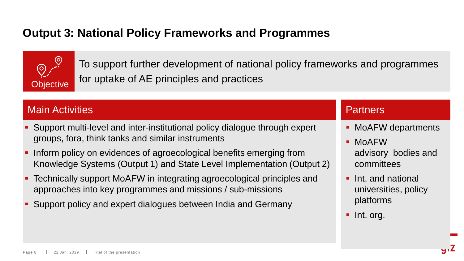### **Output 3: National Policy Frameworks and Programmes**



To support further development of national policy frameworks and programmes **Objective** for uptake of AE principles and practices

#### Main Activities

- Support multi-level and inter-institutional policy dialogue through expert groups, fora, think tanks and similar instruments
- Inform policy on evidences of agroecological benefits emerging from Knowledge Systems (Output 1) and State Level Implementation (Output 2)
- Technically support MoAFW in integrating agroecological principles and approaches into key programmes and missions / sub-missions
- Support policy and expert dialogues between India and Germany

#### **Partners**

- MoAFW departments
- **MoAFW** advisory bodies and committees
- **Int. and national** universities, policy platforms
- lnt. org.